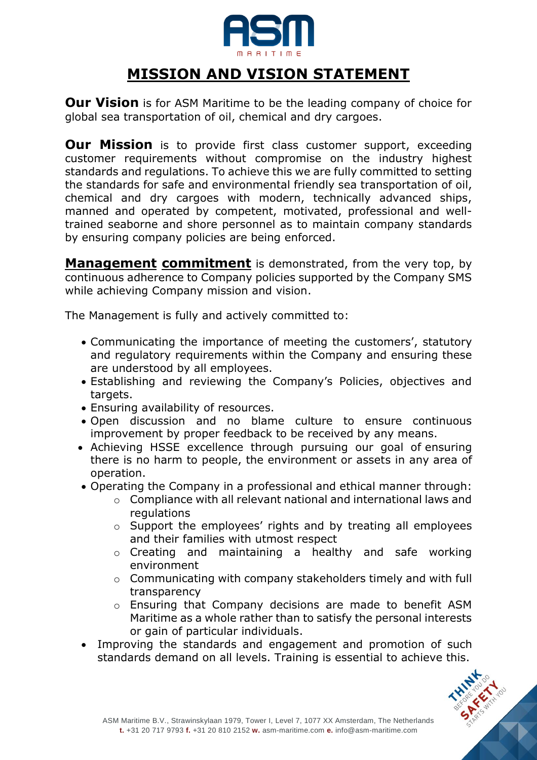

## **MISSION AND VISION STATEMENT**

**Our Vision** is for ASM Maritime to be the leading company of choice for global sea transportation of oil, chemical and dry cargoes.

**Our Mission** is to provide first class customer support, exceeding customer requirements without compromise on the industry highest standards and regulations. To achieve this we are fully committed to setting the standards for safe and environmental friendly sea transportation of oil, chemical and dry cargoes with modern, technically advanced ships, manned and operated by competent, motivated, professional and welltrained seaborne and shore personnel as to maintain company standards by ensuring company policies are being enforced.

**Management commitment** is demonstrated, from the very top, by continuous adherence to Company policies supported by the Company SMS while achieving Company mission and vision.

The Management is fully and actively committed to:

- Communicating the importance of meeting the customers', statutory and regulatory requirements within the Company and ensuring these are understood by all employees.
- Establishing and reviewing the Company's Policies, objectives and targets.
- Ensuring availability of resources.
- Open discussion and no blame culture to ensure continuous improvement by proper feedback to be received by any means.
- Achieving HSSE excellence through pursuing our goal of ensuring there is no harm to people, the environment or assets in any area of operation.
- Operating the Company in a professional and ethical manner through:
	- o Compliance with all relevant national and international laws and regulations
	- o Support the employees' rights and by treating all employees and their families with utmost respect
	- o Creating and maintaining a healthy and safe working environment
	- o Communicating with company stakeholders timely and with full transparency
	- o Ensuring that Company decisions are made to benefit ASM Maritime as a whole rather than to satisfy the personal interests or gain of particular individuals.
- Improving the standards and engagement and promotion of such standards demand on all levels. Training is essential to achieve this.